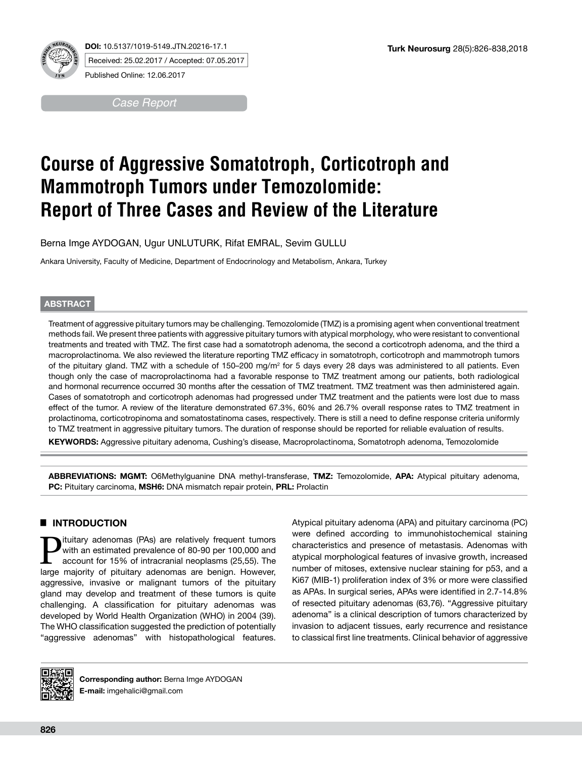

**DOI:** 10.5137/1019-5149.JTN.20216-17.1 Received: 25.02.2017 / Accepted: 07.05.2017 Published Online: 12.06.2017

*Case Report*

# **Course of Aggressive Somatotroph, Corticotroph and Mammotroph Tumors under Temozolomide: Report of Three Cases and Review of the Literature**

Berna Imge AYDOGAN, Ugur UNLUTURK, Rifat EMRAL, Sevim GULLU

Ankara University, Faculty of Medicine, Department of Endocrinology and Metabolism, Ankara, Turkey

# **ABSTRACT**

Treatment of aggressive pituitary tumors may be challenging. Temozolomide (TMZ) is a promising agent when conventional treatment methods fail. We present three patients with aggressive pituitary tumors with atypical morphology, who were resistant to conventional treatments and treated with TMZ. The first case had a somatotroph adenoma, the second a corticotroph adenoma, and the third a macroprolactinoma. We also reviewed the literature reporting TMZ efficacy in somatotroph, corticotroph and mammotroph tumors of the pituitary gland. TMZ with a schedule of 150–200 mg/m<sup>2</sup> for 5 days every 28 days was administered to all patients. Even though only the case of macroprolactinoma had a favorable response to TMZ treatment among our patients, both radiological and hormonal recurrence occurred 30 months after the cessation of TMZ treatment. TMZ treatment was then administered again. Cases of somatotroph and corticotroph adenomas had progressed under TMZ treatment and the patients were lost due to mass effect of the tumor. A review of the literature demonstrated 67.3%, 60% and 26.7% overall response rates to TMZ treatment in prolactinoma, corticotropinoma and somatostatinoma cases, respectively. There is still a need to define response criteria uniformly to TMZ treatment in aggressive pituitary tumors. The duration of response should be reported for reliable evaluation of results.

**KEYWORDS:** Aggressive pituitary adenoma, Cushing's disease, Macroprolactinoma, Somatotroph adenoma, Temozolomide

**ABBREVIATIONS: MGMT:** O6Methylguanine DNA methyl-transferase, **TMZ:** Temozolomide, **APA:** Atypical pituitary adenoma, **PC:** Pituitary carcinoma, **MSH6:** DNA mismatch repair protein, **PRL:** Prolactin

# █ **INTRODUCTION**

**P**ituitary adenomas (PAs) are relatively frequent tumors<br>
with an estimated prevalence of 80-90 per 100,000 and<br>
account for 15% of intracranial neoplasms (25,55). The<br>
large majority of pituitary adenomas are beginn Howe with an estimated prevalence of 80-90 per 100,000 and large majority of pituitary adenomas are benign. However, aggressive, invasive or malignant tumors of the pituitary gland may develop and treatment of these tumors is quite challenging. A classification for pituitary adenomas was developed by World Health Organization (WHO) in 2004 (39). The WHO classification suggested the prediction of potentially "aggressive adenomas" with histopathological features.

Atypical pituitary adenoma (APA) and pituitary carcinoma (PC) were defined according to immunohistochemical staining characteristics and presence of metastasis. Adenomas with atypical morphological features of invasive growth, increased number of mitoses, extensive nuclear staining for p53, and a Ki67 (MIB-1) proliferation index of 3% or more were classified as APAs. In surgical series, APAs were identified in 2.7-14.8% of resected pituitary adenomas (63,76). "Aggressive pituitary adenoma" is a clinical description of tumors characterized by invasion to adjacent tissues, early recurrence and resistance to classical first line treatments. Clinical behavior of aggressive



**Corresponding author:** Berna Imge AYDOGAN **E-mail:** imgehalici@gmail.com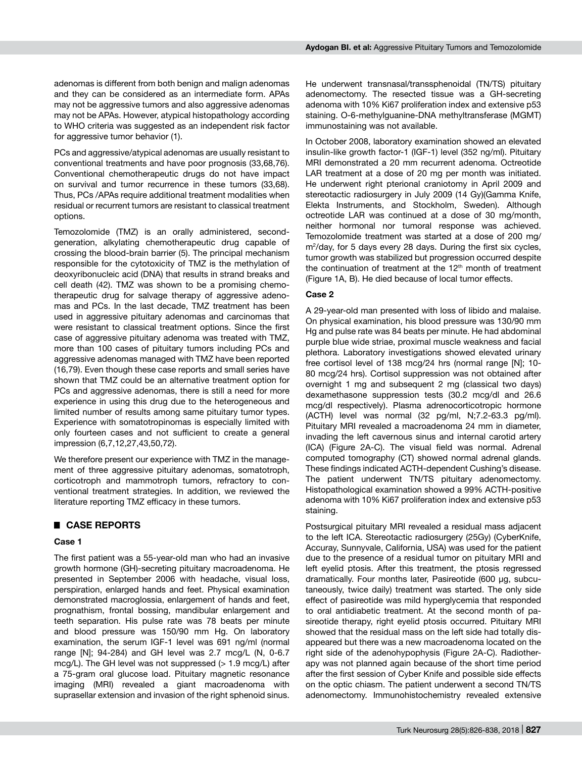adenomas is different from both benign and malign adenomas and they can be considered as an intermediate form. APAs may not be aggressive tumors and also aggressive adenomas may not be APAs. However, atypical histopathology according to WHO criteria was suggested as an independent risk factor for aggressive tumor behavior (1).

PCs and aggressive/atypical adenomas are usually resistant to conventional treatments and have poor prognosis (33,68,76). Conventional chemotherapeutic drugs do not have impact on survival and tumor recurrence in these tumors (33,68). Thus, PCs /APAs require additional treatment modalities when residual or recurrent tumors are resistant to classical treatment options.

Temozolomide (TMZ) is an orally administered, secondgeneration, alkylating chemotherapeutic drug capable of crossing the blood-brain barrier (5). The principal mechanism responsible for the cytotoxicity of TMZ is the methylation of deoxyribonucleic acid (DNA) that results in strand breaks and cell death (42). TMZ was shown to be a promising chemotherapeutic drug for salvage therapy of aggressive adenomas and PCs. In the last decade, TMZ treatment has been used in aggressive pituitary adenomas and carcinomas that were resistant to classical treatment options. Since the first case of aggressive pituitary adenoma was treated with TMZ, more than 100 cases of pituitary tumors including PCs and aggressive adenomas managed with TMZ have been reported (16,79). Even though these case reports and small series have shown that TMZ could be an alternative treatment option for PCs and aggressive adenomas, there is still a need for more experience in using this drug due to the heterogeneous and limited number of results among same pituitary tumor types. Experience with somatotropinomas is especially limited with only fourteen cases and not sufficient to create a general impression (6,7,12,27,43,50,72).

We therefore present our experience with TMZ in the management of three aggressive pituitary adenomas, somatotroph, corticotroph and mammotroph tumors, refractory to conventional treatment strategies. In addition, we reviewed the literature reporting TMZ efficacy in these tumors.

# █ **CASE REPORTS**

#### **Case 1**

The first patient was a 55-year-old man who had an invasive growth hormone (GH)-secreting pituitary macroadenoma. He presented in September 2006 with headache, visual loss, perspiration, enlarged hands and feet. Physical examination demonstrated macroglossia, enlargement of hands and feet, prognathism, frontal bossing, mandibular enlargement and teeth separation. His pulse rate was 78 beats per minute and blood pressure was 150/90 mm Hg. On laboratory examination, the serum IGF-1 level was 691 ng/ml (normal range [N]; 94-284) and GH level was 2.7 mcg/L (N, 0-6.7 mcg/L). The GH level was not suppressed  $(> 1.9 \text{ mca/L})$  after a 75-gram oral glucose load. Pituitary magnetic resonance imaging (MRI) revealed a giant macroadenoma with suprasellar extension and invasion of the right sphenoid sinus.

He underwent transnasal/transsphenoidal (TN/TS) pituitary adenomectomy. The resected tissue was a GH-secreting adenoma with 10% Ki67 proliferation index and extensive p53 staining. O-6-methylguanine-DNA methyltransferase (MGMT) immunostaining was not available.

In October 2008, laboratory examination showed an elevated insulin-like growth factor-1 (IGF-1) level (352 ng/ml). Pituitary MRI demonstrated a 20 mm recurrent adenoma. Octreotide LAR treatment at a dose of 20 mg per month was initiated. He underwent right pterional craniotomy in April 2009 and stereotactic radiosurgery in July 2009 (14 Gy)(Gamma Knife, Elekta Instruments, and Stockholm, Sweden). Although octreotide LAR was continued at a dose of 30 mg/month, neither hormonal nor tumoral response was achieved. Temozolomide treatment was started at a dose of 200 mg/ m2 /day, for 5 days every 28 days. During the first six cycles, tumor growth was stabilized but progression occurred despite the continuation of treatment at the 12<sup>th</sup> month of treatment (Figure 1A, B). He died because of local tumor effects.

#### **Case 2**

A 29-year-old man presented with loss of libido and malaise. On physical examination, his blood pressure was 130/90 mm Hg and pulse rate was 84 beats per minute. He had abdominal purple blue wide striae, proximal muscle weakness and facial plethora. Laboratory investigations showed elevated urinary free cortisol level of 138 mcg/24 hrs (normal range [N]; 10- 80 mcg/24 hrs). Cortisol suppression was not obtained after overnight 1 mg and subsequent 2 mg (classical two days) dexamethasone suppression tests (30.2 mcg/dl and 26.6 mcg/dl respectively). Plasma adrenocorticotropic hormone (ACTH) level was normal (32 pg/ml, N;7.2-63.3 pg/ml). Pituitary MRI revealed a macroadenoma 24 mm in diameter, invading the left cavernous sinus and internal carotid artery (ICA) (Figure 2A-C). The visual field was normal. Adrenal computed tomography (CT) showed normal adrenal glands. These findings indicated ACTH-dependent Cushing's disease. The patient underwent TN/TS pituitary adenomectomy. Histopathological examination showed a 99% ACTH-positive adenoma with 10% Ki67 proliferation index and extensive p53 staining.

Postsurgical pituitary MRI revealed a residual mass adjacent to the left ICA. Stereotactic radiosurgery (25Gy) (CyberKnife, Accuray, Sunnyvale, California, USA) was used for the patient due to the presence of a residual tumor on pituitary MRI and left eyelid ptosis. After this treatment, the ptosis regressed dramatically. Four months later, Pasireotide (600 μg, subcutaneously, twice daily) treatment was started. The only side effect of pasireotide was mild hyperglycemia that responded to oral antidiabetic treatment. At the second month of pasireotide therapy, right eyelid ptosis occurred. Pituitary MRI showed that the residual mass on the left side had totally disappeared but there was a new macroadenoma located on the right side of the adenohypophysis (Figure 2A-C). Radiotherapy was not planned again because of the short time period after the first session of Cyber Knife and possible side effects on the optic chiasm. The patient underwent a second TN/TS adenomectomy. Immunohistochemistry revealed extensive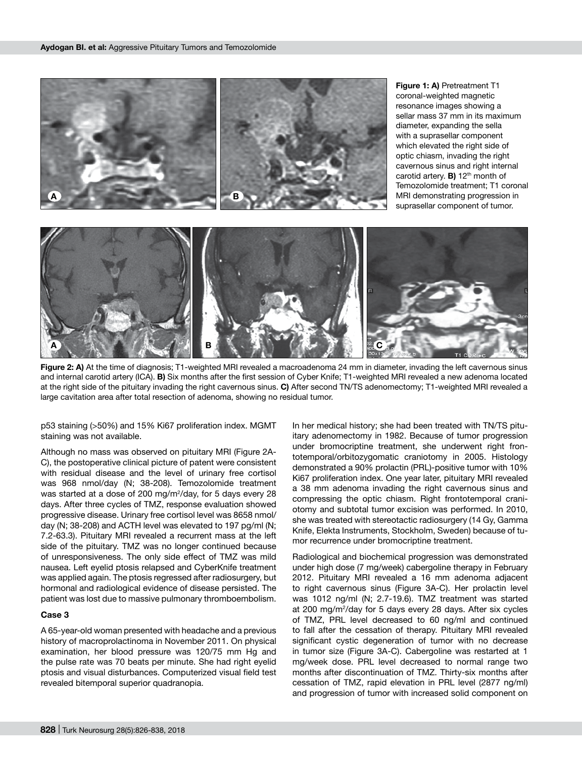

**Figure 2: A)** At the time of diagnosis; T1-weighted MRI revealed a macroadenoma 24 mm in diameter, invading the left cavernous sinus and internal carotid artery (ICA). **B)** Six months after the first session of Cyber Knife; T1-weighted MRI revealed a new adenoma located at the right side of the pituitary invading the right cavernous sinus. **C)** After second TN/TS adenomectomy; T1-weighted MRI revealed a large cavitation area after total resection of adenoma, showing no residual tumor.

p53 staining (>50%) and 15% Ki67 proliferation index. MGMT staining was not available.

Although no mass was observed on pituitary MRI (Figure 2A-C), the postoperative clinical picture of patent were consistent with residual disease and the level of urinary free cortisol was 968 nmol/day (N; 38-208). Temozolomide treatment was started at a dose of 200 mg/m<sup>2</sup>/day, for 5 days every 28 days. After three cycles of TMZ, response evaluation showed progressive disease. Urinary free cortisol level was 8658 nmol/ day (N; 38-208) and ACTH level was elevated to 197 pg/ml (N; 7.2-63.3). Pituitary MRI revealed a recurrent mass at the left side of the pituitary. TMZ was no longer continued because of unresponsiveness. The only side effect of TMZ was mild nausea. Left eyelid ptosis relapsed and CyberKnife treatment was applied again. The ptosis regressed after radiosurgery, but hormonal and radiological evidence of disease persisted. The patient was lost due to massive pulmonary thromboembolism.

#### **Case 3**

A 65-year-old woman presented with headache and a previous history of macroprolactinoma in November 2011. On physical examination, her blood pressure was 120/75 mm Hg and the pulse rate was 70 beats per minute. She had right eyelid ptosis and visual disturbances. Computerized visual field test revealed bitemporal superior quadranopia.

In her medical history; she had been treated with TN/TS pituitary adenomectomy in 1982. Because of tumor progression under bromocriptine treatment, she underwent right frontotemporal/orbitozygomatic craniotomy in 2005. Histology demonstrated a 90% prolactin (PRL)-positive tumor with 10% Ki67 proliferation index. One year later, pituitary MRI revealed a 38 mm adenoma invading the right cavernous sinus and compressing the optic chiasm. Right frontotemporal craniotomy and subtotal tumor excision was performed. In 2010, she was treated with stereotactic radiosurgery (14 Gy, Gamma Knife, Elekta Instruments, Stockholm, Sweden) because of tumor recurrence under bromocriptine treatment.

Radiological and biochemical progression was demonstrated under high dose (7 mg/week) cabergoline therapy in February 2012. Pituitary MRI revealed a 16 mm adenoma adjacent to right cavernous sinus (Figure 3A-C). Her prolactin level was 1012 ng/ml (N; 2.7-19.6). TMZ treatment was started at 200 mg/m2 /day for 5 days every 28 days. After six cycles of TMZ, PRL level decreased to 60 ng/ml and continued to fall after the cessation of therapy. Pituitary MRI revealed significant cystic degeneration of tumor with no decrease in tumor size (Figure 3A-C). Cabergoline was restarted at 1 mg/week dose. PRL level decreased to normal range two months after discontinuation of TMZ. Thirty-six months after cessation of TMZ, rapid elevation in PRL level (2877 ng/ml) and progression of tumor with increased solid component on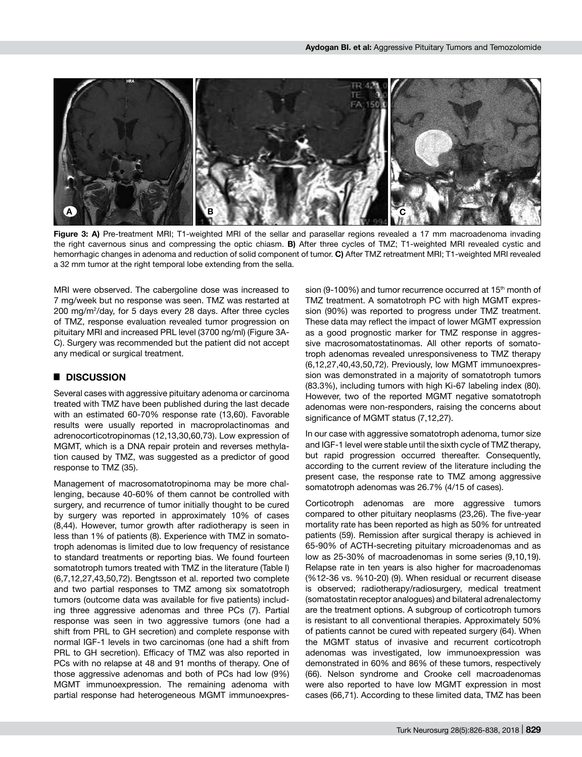

Figure 3: A) Pre-treatment MRI; T1-weighted MRI of the sellar and parasellar regions revealed a 17 mm macroadenoma invading the right cavernous sinus and compressing the optic chiasm. **B)** After three cycles of TMZ; T1-weighted MRI revealed cystic and hemorrhagic changes in adenoma and reduction of solid component of tumor. **C)** After TMZ retreatment MRI; T1-weighted MRI revealed a 32 mm tumor at the right temporal lobe extending from the sella.

MRI were observed. The cabergoline dose was increased to 7 mg/week but no response was seen. TMZ was restarted at 200 mg/m2 /day, for 5 days every 28 days. After three cycles of TMZ, response evaluation revealed tumor progression on pituitary MRI and increased PRL level (3700 ng/ml) (Figure 3A-C). Surgery was recommended but the patient did not accept any medical or surgical treatment.

## █ **DISCUSSION**

Several cases with aggressive pituitary adenoma or carcinoma treated with TMZ have been published during the last decade with an estimated 60-70% response rate (13,60). Favorable results were usually reported in macroprolactinomas and adrenocorticotropinomas (12,13,30,60,73). Low expression of MGMT, which is a DNA repair protein and reverses methylation caused by TMZ, was suggested as a predictor of good response to TMZ (35).

Management of macrosomatotropinoma may be more challenging, because 40-60% of them cannot be controlled with surgery, and recurrence of tumor initially thought to be cured by surgery was reported in approximately 10% of cases (8,44). However, tumor growth after radiotherapy is seen in less than 1% of patients (8). Experience with TMZ in somatotroph adenomas is limited due to low frequency of resistance to standard treatments or reporting bias. We found fourteen somatotroph tumors treated with TMZ in the literature (Table I) (6,7,12,27,43,50,72). Bengtsson et al. reported two complete and two partial responses to TMZ among six somatotroph tumors (outcome data was available for five patients) including three aggressive adenomas and three PCs (7). Partial response was seen in two aggressive tumors (one had a shift from PRL to GH secretion) and complete response with normal IGF-1 levels in two carcinomas (one had a shift from PRL to GH secretion). Efficacy of TMZ was also reported in PCs with no relapse at 48 and 91 months of therapy. One of those aggressive adenomas and both of PCs had low (9%) MGMT immunoexpression. The remaining adenoma with partial response had heterogeneous MGMT immunoexpression (9-100%) and tumor recurrence occurred at 15<sup>th</sup> month of TMZ treatment. A somatotroph PC with high MGMT expression (90%) was reported to progress under TMZ treatment. These data may reflect the impact of lower MGMT expression as a good prognostic marker for TMZ response in aggressive macrosomatostatinomas. All other reports of somatotroph adenomas revealed unresponsiveness to TMZ therapy (6,12,27,40,43,50,72). Previously, low MGMT immunoexpression was demonstrated in a majority of somatotroph tumors (83.3%), including tumors with high Ki-67 labeling index (80). However, two of the reported MGMT negative somatotroph adenomas were non-responders, raising the concerns about significance of MGMT status (7,12,27).

In our case with aggressive somatotroph adenoma, tumor size and IGF-1 level were stable until the sixth cycle of TMZ therapy, but rapid progression occurred thereafter. Consequently, according to the current review of the literature including the present case, the response rate to TMZ among aggressive somatotroph adenomas was 26.7% (4/15 of cases).

Corticotroph adenomas are more aggressive tumors compared to other pituitary neoplasms (23,26). The five-year mortality rate has been reported as high as 50% for untreated patients (59). Remission after surgical therapy is achieved in 65-90% of ACTH-secreting pituitary microadenomas and as low as 25-30% of macroadenomas in some series (9,10,19). Relapse rate in ten years is also higher for macroadenomas (%12-36 vs. %10-20) (9). When residual or recurrent disease is observed; radiotherapy/radiosurgery, medical treatment (somatostatin receptor analogues) and bilateral adrenalectomy are the treatment options. A subgroup of corticotroph tumors is resistant to all conventional therapies. Approximately 50% of patients cannot be cured with repeated surgery (64). When the MGMT status of invasive and recurrent corticotroph adenomas was investigated, low immunoexpression was demonstrated in 60% and 86% of these tumors, respectively (66). Nelson syndrome and Crooke cell macroadenomas were also reported to have low MGMT expression in most cases (66,71). According to these limited data, TMZ has been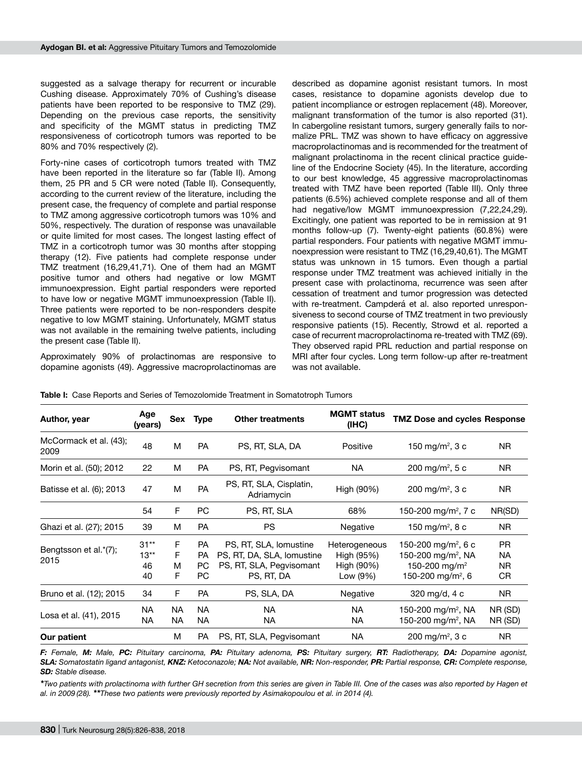suggested as a salvage therapy for recurrent or incurable Cushing disease. Approximately 70% of Cushing's disease patients have been reported to be responsive to TMZ (29). Depending on the previous case reports, the sensitivity and specificity of the MGMT status in predicting TMZ responsiveness of corticotroph tumors was reported to be 80% and 70% respectively (2).

Forty-nine cases of corticotroph tumors treated with TMZ have been reported in the literature so far (Table II). Among them, 25 PR and 5 CR were noted (Table II). Consequently, according to the current review of the literature, including the present case, the frequency of complete and partial response to TMZ among aggressive corticotroph tumors was 10% and 50%, respectively. The duration of response was unavailable or quite limited for most cases. The longest lasting effect of TMZ in a corticotroph tumor was 30 months after stopping therapy (12). Five patients had complete response under TMZ treatment (16,29,41,71). One of them had an MGMT positive tumor and others had negative or low MGMT immunoexpression. Eight partial responders were reported to have low or negative MGMT immunoexpression (Table II). Three patients were reported to be non-responders despite negative to low MGMT staining. Unfortunately, MGMT status was not available in the remaining twelve patients, including the present case (Table II).

Approximately 90% of prolactinomas are responsive to dopamine agonists (49). Aggressive macroprolactinomas are described as dopamine agonist resistant tumors. In most cases, resistance to dopamine agonists develop due to patient incompliance or estrogen replacement (48). Moreover, malignant transformation of the tumor is also reported (31). In cabergoline resistant tumors, surgery generally fails to normalize PRL. TMZ was shown to have efficacy on aggressive macroprolactinomas and is recommended for the treatment of malignant prolactinoma in the recent clinical practice guideline of the Endocrine Society (45). In the literature, according to our best knowledge, 45 aggressive macroprolactinomas treated with TMZ have been reported (Table III). Only three patients (6.5%) achieved complete response and all of them had negative/low MGMT immunoexpression (7,22,24,29). Excitingly, one patient was reported to be in remission at 91 months follow-up (7). Twenty-eight patients (60.8%) were partial responders. Four patients with negative MGMT immunoexpression were resistant to TMZ (16,29,40,61). The MGMT status was unknown in 15 tumors. Even though a partial response under TMZ treatment was achieved initially in the present case with prolactinoma, recurrence was seen after cessation of treatment and tumor progression was detected with re-treatment. Campderá et al. also reported unresponsiveness to second course of TMZ treatment in two previously responsive patients (15). Recently, Strowd et al. reported a case of recurrent macroprolactinoma re-treated with TMZ (69). They observed rapid PRL reduction and partial response on MRI after four cycles. Long term follow-up after re-treatment was not available.

| Author, year                   | Age<br>(years)               | Sex                      | <b>Type</b>                          | <b>Other treatments</b>                                                                        | <b>MGMT status</b><br>(IHC)                           | <b>TMZ Dose and cycles Response</b>                                                                                             |                                            |
|--------------------------------|------------------------------|--------------------------|--------------------------------------|------------------------------------------------------------------------------------------------|-------------------------------------------------------|---------------------------------------------------------------------------------------------------------------------------------|--------------------------------------------|
| McCormack et al. (43);<br>2009 | 48                           | м                        | <b>PA</b>                            | PS, RT, SLA, DA                                                                                | Positive                                              | 150 mg/m <sup>2</sup> , 3 c                                                                                                     | <b>NR</b>                                  |
| Morin et al. (50); 2012        | 22                           | М                        | <b>PA</b>                            | PS, RT, Pegvisomant                                                                            | NA                                                    | 200 mg/m <sup>2</sup> , 5 c                                                                                                     | NR.                                        |
| Batisse et al. (6); 2013       | 47                           | М                        | PA                                   | PS, RT, SLA, Cisplatin,<br>Adriamycin                                                          | High (90%)                                            | 200 mg/m <sup>2</sup> , 3 c                                                                                                     | NR.                                        |
|                                | 54                           | F                        | PC                                   | PS, RT, SLA                                                                                    | 68%                                                   | 150-200 mg/m <sup>2</sup> , 7 c                                                                                                 | NR(SD)                                     |
| Ghazi et al. (27); 2015        | 39                           | М                        | <b>PA</b>                            | <b>PS</b>                                                                                      | Negative                                              | 150 mg/m <sup>2</sup> , 8 c                                                                                                     | NR.                                        |
| Bengtsson et al.*(7);<br>2015  | $31**$<br>$13**$<br>46<br>40 | F.<br>F<br>м<br>F        | <b>PA</b><br><b>PA</b><br>PC.<br>PC. | PS, RT, SLA, lomustine<br>PS, RT, DA, SLA, lomustine<br>PS, RT, SLA, Pegvisomant<br>PS, RT, DA | Heterogeneous<br>High (95%)<br>High (90%)<br>Low (9%) | 150-200 mg/m <sup>2</sup> , 6 c<br>150-200 mg/m <sup>2</sup> , NA<br>150-200 mg/m <sup>2</sup><br>150-200 mg/m <sup>2</sup> , 6 | <b>PR</b><br><b>NA</b><br><b>NR</b><br>CR. |
| Bruno et al. (12); 2015        | 34                           | F                        | <b>PA</b>                            | PS, SLA, DA                                                                                    | Negative                                              | 320 mg/d, 4 c                                                                                                                   | NR.                                        |
| Losa et al. (41), 2015         | NA.<br><b>NA</b>             | NA.<br>NA.               | <b>NA</b><br><b>NA</b>               | <b>NA</b><br>NA.                                                                               | NA.<br>NA                                             | 150-200 mg/m <sup>2</sup> , NA<br>150-200 mg/m <sup>2</sup> , NA                                                                | NR (SD)<br>NR (SD)                         |
| М<br><b>PA</b><br>Our patient  |                              | PS, RT, SLA, Pegvisomant | NA.                                  | 200 mg/m <sup>2</sup> , 3 c                                                                    | <b>NR</b>                                             |                                                                                                                                 |                                            |

**Table I:** Case Reports and Series of Temozolomide Treatment in Somatotroph Tumors

F: Female, M: Male, PC: Pituitary carcinoma, PA: Pituitary adenoma, PS: Pituitary surgery, RT: Radiotherapy, DA: Dopamine agonist, *SLA: Somatostatin ligand antagonist, KNZ: Ketoconazole; NA: Not available, NR: Non-responder, PR: Partial response, CR: Complete response, SD: Stable disease.*

\**Two patients with prolactinoma with further GH secretion from this series are given in Table III. One of the cases was also reported by Hagen et al. in 2009 (28). \*\*These two patients were previously reported by Asimakopoulou et al. in 2014 (4).*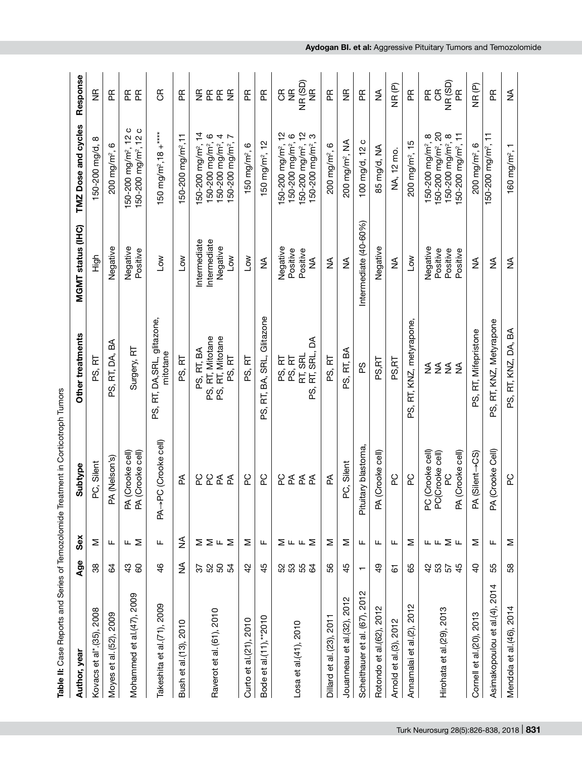| Table II: Case Reports and Series of Temozolomide Treatment in Corticotroph Tumors |                           |         |                                                                                              |                                                              |                                                    |                                                                                                                                                                   |                                                         |
|------------------------------------------------------------------------------------|---------------------------|---------|----------------------------------------------------------------------------------------------|--------------------------------------------------------------|----------------------------------------------------|-------------------------------------------------------------------------------------------------------------------------------------------------------------------|---------------------------------------------------------|
| Author, year                                                                       | Age                       | Sex     | Subtype                                                                                      | Other treatments                                             | MGMT status (IHC)                                  | TMZ Dose and cycles                                                                                                                                               | Response                                                |
| Kovacs et al* (35), 2008                                                           | 38                        | Σ       | PC, Silent                                                                                   | 군<br>တ္က်                                                    | 高元                                                 | $\infty$<br>50-200 mg/d,                                                                                                                                          | $\frac{\alpha}{2}$                                      |
| Moyes et al. (52), 2009                                                            | 3                         | Щ       | (Nelson's)<br>Æ                                                                              | а<br>PS, RT, DA,                                             | Negative                                           | 200 mg/m <sup>2</sup> , 6                                                                                                                                         | Æ                                                       |
| Mohammed et al. (47), 2009                                                         | 38                        | ш∑      | Crooke cell)<br>Crooke cell)<br>$\widetilde{\mathbb{R}}$ $\widetilde{\mathbb{R}}$            | Surgery, RT                                                  | Negative<br>Positive                               | ပေ<br>150-200 mg/m <sup>2</sup> , 12<br>$\frac{2}{1}$<br>150-200 mg/m <sup>2</sup> ,                                                                              | E E                                                     |
| Takeshita et al. (71), 2009                                                        | $\frac{4}{6}$             | ட       | C (Crooke cell)<br>$PA \rightarrow P$                                                        | PS, RT, DA, SRL, glitazone,<br>mitotane                      | $\sum_{i=1}^{\infty}$                              | 150 mg/m <sup>2</sup> ,18 +****                                                                                                                                   | $\mathfrak{E}$                                          |
| 2010<br>Bush et al.(13),                                                           | ₹                         | ≸       | ₹                                                                                            | PS, RT                                                       | $\overline{C}$                                     | 150-200 mg/m <sup>2</sup> , 11                                                                                                                                    | $\mathbf{E}$                                            |
| Raverot et al. (61), 2010                                                          | <b>22822</b>              | ⋝⋝╙⋝    | ဥ<br>ဥ<br>준<br>₫                                                                             | PS, RT, Mitotane<br>PS, RT, BA<br>PS, RT, Mitotane<br>PS, RT | Intermediate<br>Intermediate<br>Negative<br>$\sim$ | $\frac{1}{4}$<br>150-200 mg/m <sup>2</sup> , 6<br>4<br>$\overline{ }$<br>150-200 mg/m <sup>2</sup> ,<br>150-200 mg/m <sup>2</sup> ,<br>50-200 mg/m <sup>2</sup> , | $\mathbf{f}$<br><u>또 운</u><br>$\frac{\alpha}{Z}$        |
| Curto et al.(21), 2010                                                             | 42                        | Σ       | <b>PC</b>                                                                                    | PS, RT                                                       | $\overline{\mathsf{S}}$                            | $150$ mg/m <sup>2</sup> , $6$                                                                                                                                     | Æ                                                       |
| $al. (11), *2010$<br>$\vec{v}$<br><b>Bode</b>                                      | 45                        | ட       | <b>PC</b>                                                                                    | Glitazone<br>BA, SRL,<br>F.<br>တ်                            | ≨                                                  | 150 mg/m <sup>2</sup> , 12                                                                                                                                        | Æ                                                       |
| Losa et al.(41), 2010                                                              | <b>3353</b>               | ∑ ⊥ ∟ ∑ | <b>PC</b><br>준<br>$\mathbb{E}% _{A}^{\ast }=\mathbb{E}_{A}\times\mathbb{P}_{A}^{\ast }$<br>₫ | Z<br>RT, SRL,<br>RT, SRL<br>PS, RT<br>PS, RT<br>က်           | Negative<br>Positive<br>Positive<br>$\frac{1}{2}$  | 150-200 mg/m <sup>2</sup> , 12<br>150-200 mg/m <sup>2</sup> , 12<br>150-200 mg/m <sup>2</sup> , 6<br>ო<br>150-200 mg/m <sup>2</sup> ,                             | NR(SD)<br>$\frac{\alpha}{2}$<br>$\frac{\alpha}{2}$<br>æ |
| Dillard et al. (23), 2011                                                          | 89                        | Σ       | ₹                                                                                            | PS, RT                                                       | $\frac{1}{2}$                                      | 200 mg/m <sup>2</sup> , 6                                                                                                                                         | Æ                                                       |
| 2012<br>Jouanneau et al.(32),                                                      | 45                        | Σ       | C, Silent<br>൨                                                                               | RT, BA<br>တ်                                                 | ≸                                                  | 200 mg/m², NA                                                                                                                                                     | $\frac{\alpha}{\alpha}$                                 |
| Scheithauer et al. (67), 2012                                                      | $\mathbf{\tau}$           | Щ       | Pituitary blastoma                                                                           | SS<br>D                                                      | Intermediate (40-60%)                              | ပ<br>100 mg/d, 12                                                                                                                                                 | 臣                                                       |
| Rotondo et al.(62), 2012                                                           | $\frac{9}{4}$             | ட       | PA (Crooke cell)                                                                             | PS,RT                                                        | Negative                                           | 85 mg/d, NA                                                                                                                                                       | ≸                                                       |
| , 2012<br>Arnold et al.(3),                                                        | 67                        | ட       | 2d                                                                                           | PS,RT                                                        | ≨                                                  | NA, 12 mo.                                                                                                                                                        | NR <sub>(P)</sub>                                       |
| 2012<br>Annamalai et al.(2),                                                       | 89                        | Σ       | <b>PC</b>                                                                                    | RT, KNZ, metyrapone,<br>တ်                                   | Low                                                | 200 mg/m <sup>2</sup> , 15                                                                                                                                        | Æ                                                       |
| Hirohata et al.(29), 2013                                                          | <b>3 3 5 4</b><br>3 5 5 4 | டட∑ட    | Crooke cell)<br>PA (Crooke cell)<br>PC (Crooke cell)<br>PC(Crooke cell)<br>9C                | ≨≨≨≨                                                         | Negative<br>Positive<br>Positive<br>Positive       | 150-200 mg/m <sup>2</sup> , 20<br>150-200 mg/m <sup>2</sup> , 11<br>150-200 mg/m <sup>2</sup> , 8<br>150-200 mg/m <sup>2</sup> , 8                                | NR (SD)<br>$\mathfrak{g}$<br>$\mathbf{E}$<br>Æ          |
| Cornell et al.(20), 2013                                                           | ੩                         | Σ       | Silent->CS)<br>Ā                                                                             | PS, RT, Mifepristone                                         | ≨                                                  | 200 mg/m <sup>2</sup> , 6                                                                                                                                         | NR (P)                                                  |
| Asimakopoulou et al.(4), 2014                                                      | 55                        | ட       | PA (Crooke Cell)                                                                             | PS, RT, KNZ, Metyrapone                                      | $\frac{1}{2}$                                      | 150-200 mg/m <sup>2</sup> , 11                                                                                                                                    | Æ                                                       |
| Mendola et al. (46), 2014                                                          | 89                        | Σ       | <b>PC</b>                                                                                    | PS, RT, KNZ, DA, BA                                          | $\frac{1}{2}$                                      | 160 mg/m <sup>2</sup> ,                                                                                                                                           | ≸                                                       |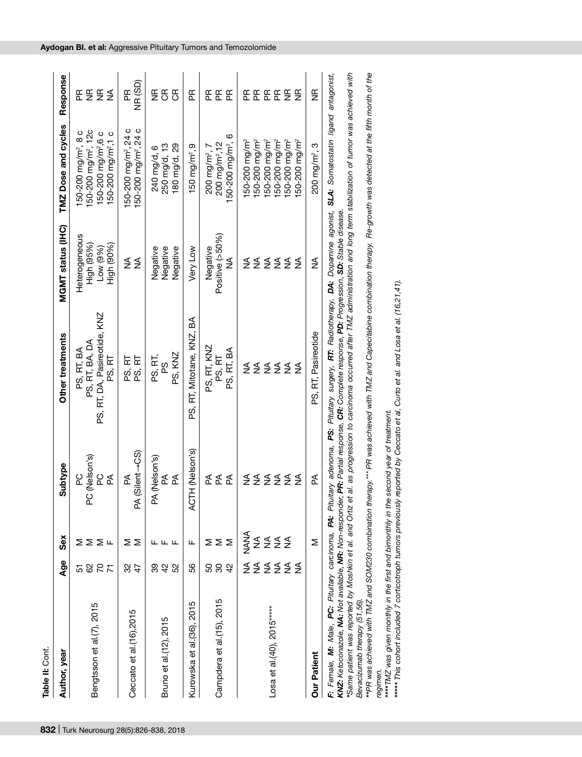| Table II: Cont.              |                           |                      |                                              |                                                                                                                                                                          |                                                       |                                                                                                                                                                          |                    |
|------------------------------|---------------------------|----------------------|----------------------------------------------|--------------------------------------------------------------------------------------------------------------------------------------------------------------------------|-------------------------------------------------------|--------------------------------------------------------------------------------------------------------------------------------------------------------------------------|--------------------|
| Author, year                 | Age                       | Šex                  | Subtype                                      | Other treatments                                                                                                                                                         | MGMT status (IHC)                                     | TMZ Dose and cycles                                                                                                                                                      | Response           |
| Bengtsson et al.(7), 2015    | <b>222</b><br>5           | ⋝⋝⋝╙                 | PC (Nelson's)<br>2d<br><b>PC</b><br>₹        | PS, RT, DA, Pasireotide, KNZ<br>PS, RT, BA, DA<br>PS, RT, BA<br>PS, RT                                                                                                   | Heterogeneous<br>High (95%)<br>Low (9%)<br>High (90%) | 150-200 mg/m², 12c<br>50-200 mg/m <sup>2</sup> , 8 c<br>150-200 mg/m <sup>2</sup> ,6 c<br>50-200 mg/m <sup>2</sup> ,1 c                                                  | EESS               |
| Ceccato et al.(16),2015      | $\frac{2}{3}$             | Σ<br>⋝               | (Silent->CS)<br>₫<br>₹                       | PS, RT<br>PS, RT                                                                                                                                                         | ≨<br>≨                                                | 150-200 mg/m <sup>2</sup> , 24 c<br>50-200 mg/m <sup>2</sup> , 24 c                                                                                                      | NR (SD)<br>Æ       |
| Bruno et al.(12), 2015       | 48<br>89                  | ட்டட                 | PA (Nelson's)<br>ิ์≾ี ∆ี                     | PS, KNZ<br>PS, RT,<br>က္က                                                                                                                                                | Negative<br>Negative<br>Negative                      | 180 mg/d, 29<br>250 mg/d, 13<br>240 mg/d, 6                                                                                                                              | EEE                |
| Kurowska et al. (36), 2015   | 56                        | щ                    | ACTH (Nelson's)                              | PS, RT, Mitotane, KNZ, BA                                                                                                                                                | Very Low                                              | 150 mg/m <sup>2</sup> , 9                                                                                                                                                | Æ                  |
| Campdera et al. (15), 2015   | $\frac{4}{2}$<br>80<br>50 | ∑∑∑                  | ₹<br>ิ สัช                                   | PS, RT, KNZ<br>PS, RT, BA<br>PS, RT                                                                                                                                      | Positive (>50%)<br>Negative<br>≨                      | 50-200 mg/m <sup>2</sup> , 6<br>200 mg/m <sup>2</sup> ,12<br>200 mg/m², 7                                                                                                | EEE                |
| $Lossa et al. (40), 2015***$ | <b>SSSSSS</b>             | <b>ANANA</b><br>5555 | ₹<br>₹<br>$\lessgtr$<br>≨<br>$\lessgtr$<br>≨ | ≤ ≤ ≤ ≤ ≤<br>2 2 2 2 2<br>≨                                                                                                                                              | $\frac{4}{2}$                                         | 50-200 mg/m <sup>2</sup><br>50-200 mg/m <sup>2</sup><br>50-200 mg/m <sup>2</sup><br>$50-200$ mg/m <sup>2</sup><br>$50-200$ mg/m <sup>2</sup><br>50-200 mg/m <sup>2</sup> | EEEEEE             |
| <b>Our Patient</b>           |                           | Σ                    | ₹                                            | PS, RT, Pasireotide                                                                                                                                                      | ≸                                                     | 200 mg/m <sup>2</sup> , 3                                                                                                                                                | $\frac{\alpha}{Z}$ |
|                              |                           |                      |                                              | F: Female, M: Male, PC: Pitultary carcinoma, PA: Pitultary adenoma, PS: Pitultary surgery, RT: Radiotherapy, DA: Doparnine agonist, SLA: Somatostatin ligand antagonist, |                                                       |                                                                                                                                                                          |                    |

KNZ: Ketoconazole, NA: Not available, NR: Non-responder, PR: Partial response, CR: Complete response, PD: Progression, SD: Stable disease.<br>\*Same patient was reported by Moshkin et al. and Ortiz et al. as progression to car *\*Same patient was reported by Moshkin et al. and Ortiz et al. as progression to carcinoma occurred after TMZ administration and long term stabilization of tumor was achieved with*  KNZ: Ketoconazole, NA: Not available, NR: Non-responder, PR: Partial response, CR: Complete response, PD: Progression, SD: Stable disease.

*Bevacizumab therapy (51,56).* 

*\*\*PR was achieved with TMZ and SOM230 combination therapy.\*\*\* PR was achieved with TMZ and Capecitabine combination therapy. Re-growth was detected at the fifth month of the*  Bevacizumab therapy <sup>(</sup>61,56).<br>\*\*PR was achieved with TMZ and SOM230 combination therapy.\*\*\* PR was achieved with TMZ and Capecitabine combination therapy. Re-growth was detected at the fifth month of the<br>regimen.<br>\*\*\*\*\* Th

*\*\*\*\*TMZ was given monthly in the first and bimonthly in the second year of treatment.*

*\*\*\*\*\* This cohort included 7 corticotroph tumors previously reported by Ceccato et al, Curto et al. and Losa et al. (16,21,41).*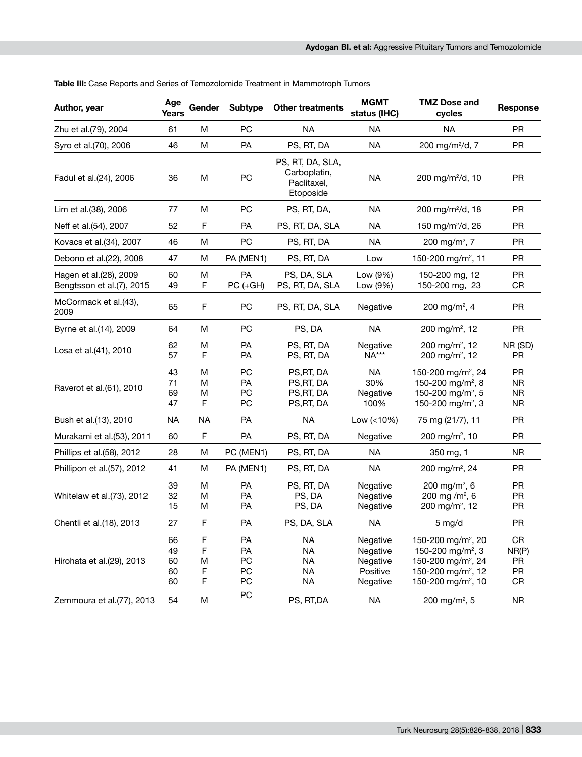| Author, year                                        | Age<br>Years               | Gender                | <b>Subtype</b>              | <b>Other treatments</b>                                       | <b>MGMT</b><br>status (IHC)                              | <b>TMZ Dose and</b><br>cycles                                                                                                                                         | Response                                         |
|-----------------------------------------------------|----------------------------|-----------------------|-----------------------------|---------------------------------------------------------------|----------------------------------------------------------|-----------------------------------------------------------------------------------------------------------------------------------------------------------------------|--------------------------------------------------|
| Zhu et al.(79), 2004                                | 61                         | M                     | PC                          | <b>NA</b>                                                     | <b>NA</b>                                                | <b>NA</b>                                                                                                                                                             | <b>PR</b>                                        |
| Syro et al.(70), 2006                               | 46                         | M                     | <b>PA</b>                   | PS, RT, DA                                                    | <b>NA</b>                                                | 200 mg/m <sup>2</sup> /d, 7                                                                                                                                           | <b>PR</b>                                        |
| Fadul et al.(24), 2006                              | 36                         | M                     | PC                          | PS, RT, DA, SLA,<br>Carboplatin,<br>Paclitaxel,<br>Etoposide  | <b>NA</b>                                                | 200 mg/m <sup>2</sup> /d, 10                                                                                                                                          | <b>PR</b>                                        |
| Lim et al.(38), 2006                                | 77                         | M                     | <b>PC</b>                   | PS, RT, DA,                                                   | <b>NA</b>                                                | 200 mg/m <sup>2</sup> /d, 18                                                                                                                                          | <b>PR</b>                                        |
| Neff et al.(54), 2007                               | 52                         | F                     | PA                          | PS, RT, DA, SLA                                               | NA                                                       | 150 mg/m $^{2}$ /d, 26                                                                                                                                                | <b>PR</b>                                        |
| Kovacs et al. (34), 2007                            | 46                         | М                     | PC                          | PS, RT, DA                                                    | <b>NA</b>                                                | 200 mg/m <sup>2</sup> , 7                                                                                                                                             | <b>PR</b>                                        |
| Debono et al.(22), 2008                             | 47                         | M                     | PA (MEN1)                   | PS, RT, DA                                                    | Low                                                      | 150-200 mg/m <sup>2</sup> , 11                                                                                                                                        | <b>PR</b>                                        |
| Hagen et al.(28), 2009<br>Bengtsson et al.(7), 2015 | 60<br>49                   | M<br>F                | PA<br>$PC (+GH)$            | PS, DA, SLA<br>PS, RT, DA, SLA                                | Low (9%)<br>Low (9%)                                     | 150-200 mg, 12<br>150-200 mg, 23                                                                                                                                      | <b>PR</b><br>CR                                  |
| McCormack et al.(43),<br>2009                       | 65                         | F                     | PC                          | PS, RT, DA, SLA                                               | Negative                                                 | 200 mg/m <sup>2</sup> , 4                                                                                                                                             | <b>PR</b>                                        |
| Byrne et al.(14), 2009                              | 64                         | M                     | <b>PC</b>                   | PS, DA                                                        | <b>NA</b>                                                | 200 mg/m <sup>2</sup> , 12                                                                                                                                            | <b>PR</b>                                        |
| Losa et al.(41), 2010                               | 62<br>57                   | M<br>F                | PA<br>PA                    | PS, RT, DA<br>PS, RT, DA                                      | Negative<br><b>NA***</b>                                 | 200 mg/m <sup>2</sup> , 12<br>200 mg/m <sup>2</sup> , 12                                                                                                              | NR (SD)<br><b>PR</b>                             |
| Raverot et al. (61), 2010                           | 43<br>71<br>69<br>47       | M<br>M<br>M<br>F      | PC<br>PA<br>PC<br><b>PC</b> | PS, RT, DA<br>PS, RT, DA<br>PS, RT, DA<br>PS, RT, DA          | <b>NA</b><br>30%<br>Negative<br>100%                     | 150-200 mg/m <sup>2</sup> , 24<br>150-200 mg/m <sup>2</sup> , 8<br>150-200 mg/m <sup>2</sup> , 5<br>150-200 mg/m <sup>2</sup> , 3                                     | <b>PR</b><br><b>NR</b><br><b>NR</b><br><b>NR</b> |
| Bush et al.(13), 2010                               | ΝA                         | <b>NA</b>             | <b>PA</b>                   | <b>NA</b>                                                     | Low $( < 10\%)$                                          | 75 mg (21/7), 11                                                                                                                                                      | <b>PR</b>                                        |
| Murakami et al.(53), 2011                           | 60                         | F                     | <b>PA</b>                   | PS, RT, DA                                                    | Negative                                                 | 200 mg/m <sup>2</sup> , 10                                                                                                                                            | <b>PR</b>                                        |
| Phillips et al.(58), 2012                           | 28                         | M                     | PC (MEN1)                   | PS, RT, DA                                                    | <b>NA</b>                                                | 350 mg, 1                                                                                                                                                             | <b>NR</b>                                        |
| Phillipon et al.(57), 2012                          | 41                         | M                     | PA (MEN1)                   | PS, RT, DA                                                    | <b>NA</b>                                                | 200 mg/m <sup>2</sup> , 24                                                                                                                                            | PR                                               |
| Whitelaw et al.(73), 2012                           | 39<br>32<br>15             | М<br>M<br>M           | PA<br>PA<br><b>PA</b>       | PS, RT, DA<br>PS, DA<br>PS, DA                                | Negative<br>Negative<br>Negative                         | 200 mg/m <sup>2</sup> , 6<br>200 mg /m <sup>2</sup> , 6<br>200 mg/m <sup>2</sup> , 12                                                                                 | <b>PR</b><br><b>PR</b><br><b>PR</b>              |
| Chentli et al.(18), 2013                            | 27                         | F                     | РA                          | PS, DA, SLA                                                   | NA.                                                      | 5 mg/d                                                                                                                                                                | PR.                                              |
| Hirohata et al.(29), 2013                           | 66<br>49<br>60<br>60<br>60 | F<br>F<br>M<br>F<br>F | PA<br>PA<br>PC<br>PC<br>PC  | <b>NA</b><br><b>NA</b><br><b>NA</b><br><b>NA</b><br><b>NA</b> | Negative<br>Negative<br>Negative<br>Positive<br>Negative | 150-200 mg/m <sup>2</sup> , 20<br>150-200 mg/m <sup>2</sup> , 3<br>150-200 mg/m <sup>2</sup> , 24<br>150-200 mg/m <sup>2</sup> , 12<br>150-200 mg/m <sup>2</sup> , 10 | CR<br>NR(P)<br>PR<br>PR<br>CR                    |
| Zemmoura et al.(77), 2013                           | 54                         | M                     | PC                          | PS, RT, DA                                                    | <b>NA</b>                                                | 200 mg/m <sup>2</sup> , 5                                                                                                                                             | <b>NR</b>                                        |
|                                                     |                            |                       |                             |                                                               |                                                          |                                                                                                                                                                       |                                                  |

**Table III:** Case Reports and Series of Temozolomide Treatment in Mammotroph Tumors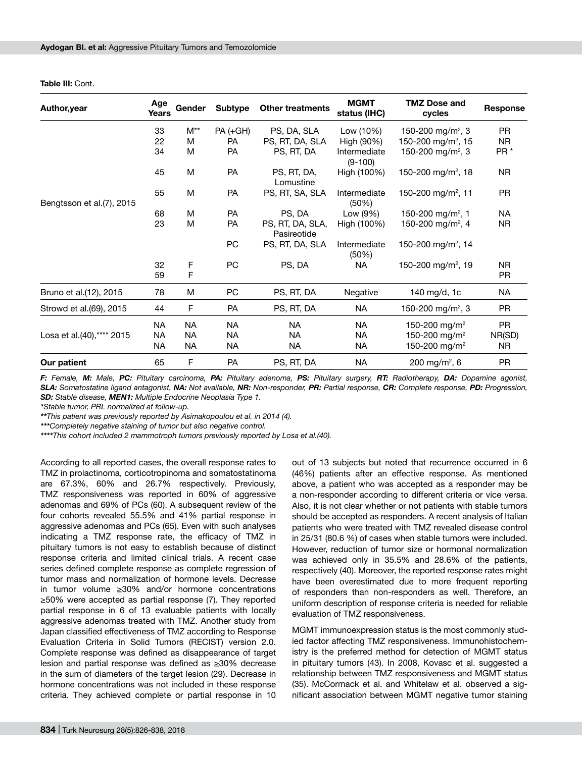| Author, year               | Age<br>Years | Gender           | Subtype   | <b>Other treatments</b>         | <b>MGMT</b><br>status (IHC) | <b>TMZ Dose and</b><br>cycles  | <b>Response</b> |
|----------------------------|--------------|------------------|-----------|---------------------------------|-----------------------------|--------------------------------|-----------------|
|                            | 33           | $M^{\star\star}$ | PA (+GH)  | PS, DA, SLA                     | Low (10%)                   | 150-200 mg/m <sup>2</sup> , 3  | <b>PR</b>       |
|                            | 22           | м                | <b>PA</b> | PS, RT, DA, SLA                 | High (90%)                  | 150-200 mg/m <sup>2</sup> , 15 | <b>NR</b>       |
|                            | 34           | м                | <b>PA</b> | PS, RT, DA                      | Intermediate<br>$(9-100)$   | 150-200 mg/m <sup>2</sup> , 3  | PR <sup>*</sup> |
|                            | 45           | M                | <b>PA</b> | PS, RT, DA,<br>Lomustine        | High (100%)                 | 150-200 mg/m <sup>2</sup> , 18 | <b>NR</b>       |
| Bengtsson et al. (7), 2015 | 55           | M                | <b>PA</b> | PS, RT, SA, SLA                 | Intermediate<br>(50%)       | 150-200 mg/m <sup>2</sup> , 11 | <b>PR</b>       |
|                            | 68           | м                | <b>PA</b> | PS, DA                          | Low (9%)                    | 150-200 mg/m <sup>2</sup> , 1  | NA              |
|                            | 23           | M                | <b>PA</b> | PS, RT, DA, SLA,<br>Pasireotide | High (100%)                 | 150-200 mg/m <sup>2</sup> , 4  | NR.             |
|                            |              |                  | PC        | PS, RT, DA, SLA                 | Intermediate<br>(50%)       | 150-200 mg/m <sup>2</sup> , 14 |                 |
|                            | 32           | F                | <b>PC</b> | PS, DA                          | <b>NA</b>                   | 150-200 mg/m <sup>2</sup> , 19 | N <sub>R</sub>  |
|                            | 59           | F                |           |                                 |                             |                                | PR.             |
| Bruno et al.(12), 2015     | 78           | M                | PC        | PS, RT, DA                      | Negative                    | 140 mg/d, 1c                   | <b>NA</b>       |
| Strowd et al. (69), 2015   | 44           | F                | <b>PA</b> | PS, RT, DA                      | <b>NA</b>                   | 150-200 mg/m <sup>2</sup> , 3  | PR.             |
|                            | NA           | <b>NA</b>        | <b>NA</b> | <b>NA</b>                       | <b>NA</b>                   | 150-200 mg/m <sup>2</sup>      | <b>PR</b>       |
| Losa et al.(40),**** 2015  | <b>NA</b>    | <b>NA</b>        | NA        | <b>NA</b>                       | <b>NA</b>                   | 150-200 mg/m <sup>2</sup>      | NR(SD)          |
|                            | NA.          | NA               | NA        | NA                              | <b>NA</b>                   | 150-200 mg/m <sup>2</sup>      | NR.             |
| Our patient                | 65           | $\mathsf{F}$     | <b>PA</b> | PS, RT, DA                      | <b>NA</b>                   | 200 mg/m <sup>2</sup> , 6      | <b>PR</b>       |

**Table III:** Cont.

F: Female, M: Male, PC: Pituitary carcinoma, PA: Pituitary adenoma, PS: Pituitary surgery, RT: Radiotherapy, DA: Dopamine agonist, *SLA: Somatostatine ligand antagonist, NA: Not available, NR: Non-responder, PR: Partial response, CR: Complete response, PD: Progression, SD: Stable disease, MEN1: Multiple Endocrine Neoplasia Type 1.*

*\*Stable tumor, PRL normalized at follow-up.* 

*\*\*This patient was previously reported by Asimakopoulou et al. in 2014 (4).*

*\*\*\*Completely negative staining of tumor but also negative control.* 

*\*\*\*\*This cohort included 2 mammotroph tumors previously reported by Losa et al.(40).*

According to all reported cases, the overall response rates to TMZ in prolactinoma, corticotropinoma and somatostatinoma are 67.3%, 60% and 26.7% respectively. Previously, TMZ responsiveness was reported in 60% of aggressive adenomas and 69% of PCs (60). A subsequent review of the four cohorts revealed 55.5% and 41% partial response in aggressive adenomas and PCs (65). Even with such analyses indicating a TMZ response rate, the efficacy of TMZ in pituitary tumors is not easy to establish because of distinct response criteria and limited clinical trials. A recent case series defined complete response as complete regression of tumor mass and normalization of hormone levels. Decrease in tumor volume ≥30% and/or hormone concentrations ≥50% were accepted as partial response (7). They reported partial response in 6 of 13 evaluable patients with locally aggressive adenomas treated with TMZ. Another study from Japan classified effectiveness of TMZ according to Response Evaluation Criteria in Solid Tumors (RECIST) version 2.0. Complete response was defined as disappearance of target lesion and partial response was defined as ≥30% decrease in the sum of diameters of the target lesion (29). Decrease in hormone concentrations was not included in these response criteria. They achieved complete or partial response in 10

out of 13 subjects but noted that recurrence occurred in 6 (46%) patients after an effective response. As mentioned above, a patient who was accepted as a responder may be a non-responder according to different criteria or vice versa. Also, it is not clear whether or not patients with stable tumors should be accepted as responders. A recent analysis of Italian patients who were treated with TMZ revealed disease control in 25/31 (80.6 %) of cases when stable tumors were included. However, reduction of tumor size or hormonal normalization was achieved only in 35.5% and 28.6% of the patients, respectively (40). Moreover, the reported response rates might have been overestimated due to more frequent reporting of responders than non-responders as well. Therefore, an uniform description of response criteria is needed for reliable evaluation of TMZ responsiveness.

MGMT immunoexpression status is the most commonly studied factor affecting TMZ responsiveness. Immunohistochemistry is the preferred method for detection of MGMT status in pituitary tumors (43). In 2008, Kovasc et al. suggested a relationship between TMZ responsiveness and MGMT status (35). McCormack et al. and Whitelaw et al. observed a significant association between MGMT negative tumor staining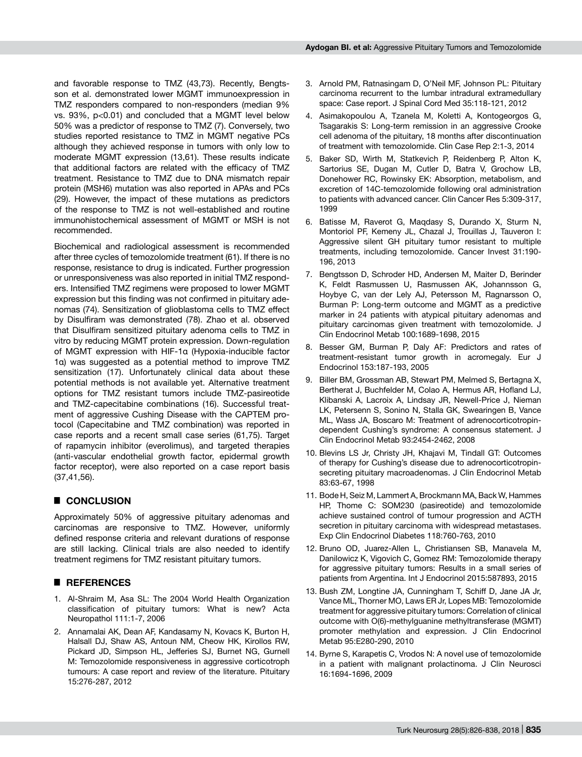and favorable response to TMZ (43,73). Recently, Bengtsson et al. demonstrated lower MGMT immunoexpression in TMZ responders compared to non-responders (median 9% vs. 93%, p<0.01) and concluded that a MGMT level below 50% was a predictor of response to TMZ (7). Conversely, two studies reported resistance to TMZ in MGMT negative PCs although they achieved response in tumors with only low to moderate MGMT expression (13,61). These results indicate that additional factors are related with the efficacy of TMZ treatment. Resistance to TMZ due to DNA mismatch repair protein (MSH6) mutation was also reported in APAs and PCs (29). However, the impact of these mutations as predictors of the response to TMZ is not well-established and routine immunohistochemical assessment of MGMT or MSH is not recommended.

Biochemical and radiological assessment is recommended after three cycles of temozolomide treatment (61). If there is no response, resistance to drug is indicated. Further progression or unresponsiveness was also reported in initial TMZ responders. Intensified TMZ regimens were proposed to lower MGMT expression but this finding was not confirmed in pituitary adenomas (74). Sensitization of glioblastoma cells to TMZ effect by Disulfiram was demonstrated (78). Zhao et al. observed that Disulfiram sensitized pituitary adenoma cells to TMZ in vitro by reducing MGMT protein expression. Down-regulation of MGMT expression with HIF-1α (Hypoxia-inducible factor 1α) was suggested as a potential method to improve TMZ sensitization (17). Unfortunately clinical data about these potential methods is not available yet. Alternative treatment options for TMZ resistant tumors include TMZ-pasireotide and TMZ-capecitabine combinations (16). Successful treatment of aggressive Cushing Disease with the CAPTEM protocol (Capecitabine and TMZ combination) was reported in case reports and a recent small case series (61,75). Target of rapamycin inhibitor (everolimus), and targeted therapies (anti-vascular endothelial growth factor, epidermal growth factor receptor), were also reported on a case report basis (37,41,56).

# █ **CONCLUSION**

Approximately 50% of aggressive pituitary adenomas and carcinomas are responsive to TMZ. However, uniformly defined response criteria and relevant durations of response are still lacking. Clinical trials are also needed to identify treatment regimens for TMZ resistant pituitary tumors.

### █ **REFERENCES**

- 1. Al-Shraim M, Asa SL: The 2004 World Health Organization classification of pituitary tumors: What is new? Acta Neuropathol 111:1-7, 2006
- 2. Annamalai AK, Dean AF, Kandasamy N, Kovacs K, Burton H, Halsall DJ, Shaw AS, Antoun NM, Cheow HK, Kirollos RW, Pickard JD, Simpson HL, Jefferies SJ, Burnet NG, Gurnell M: Temozolomide responsiveness in aggressive corticotroph tumours: A case report and review of the literature. Pituitary 15:276-287, 2012
- 3. Arnold PM, Ratnasingam D, O'Neil MF, Johnson PL: Pituitary carcinoma recurrent to the lumbar intradural extramedullary space: Case report. J Spinal Cord Med 35:118-121, 2012
- 4. Asimakopoulou A, Tzanela M, Koletti A, Kontogeorgos G, Tsagarakis S: Long-term remission in an aggressive Crooke cell adenoma of the pituitary, 18 months after discontinuation of treatment with temozolomide. Clin Case Rep 2:1-3, 2014
- 5. Baker SD, Wirth M, Statkevich P, Reidenberg P, Alton K, Sartorius SE, Dugan M, Cutler D, Batra V, Grochow LB, Donehower RC, Rowinsky EK: Absorption, metabolism, and excretion of 14C-temozolomide following oral administration to patients with advanced cancer. Clin Cancer Res 5:309-317, 1999
- 6. Batisse M, Raverot G, Maqdasy S, Durando X, Sturm N, Montoriol PF, Kemeny JL, Chazal J, Trouillas J, Tauveron I: Aggressive silent GH pituitary tumor resistant to multiple treatments, including temozolomide. Cancer Invest 31:190- 196, 2013
- 7. Bengtsson D, Schroder HD, Andersen M, Maiter D, Berinder K, Feldt Rasmussen U, Rasmussen AK, Johannsson G, Hoybye C, van der Lely AJ, Petersson M, Ragnarsson O, Burman P: Long-term outcome and MGMT as a predictive marker in 24 patients with atypical pituitary adenomas and pituitary carcinomas given treatment with temozolomide. J Clin Endocrinol Metab 100:1689-1698, 2015
- 8. Besser GM, Burman P, Daly AF: Predictors and rates of treatment-resistant tumor growth in acromegaly. Eur J Endocrinol 153:187-193, 2005
- 9. Biller BM, Grossman AB, Stewart PM, Melmed S, Bertagna X, Bertherat J, Buchfelder M, Colao A, Hermus AR, Hofland LJ, Klibanski A, Lacroix A, Lindsay JR, Newell-Price J, Nieman LK, Petersenn S, Sonino N, Stalla GK, Swearingen B, Vance ML, Wass JA, Boscaro M: Treatment of adrenocorticotropindependent Cushing's syndrome: A consensus statement. J Clin Endocrinol Metab 93:2454-2462, 2008
- 10. Blevins LS Jr, Christy JH, Khajavi M, Tindall GT: Outcomes of therapy for Cushing's disease due to adrenocorticotropinsecreting pituitary macroadenomas. J Clin Endocrinol Metab 83:63-67, 1998
- 11. Bode H, Seiz M, Lammert A, Brockmann MA, Back W, Hammes HP, Thome C: SOM230 (pasireotide) and temozolomide achieve sustained control of tumour progression and ACTH secretion in pituitary carcinoma with widespread metastases. Exp Clin Endocrinol Diabetes 118:760-763, 2010
- 12. Bruno OD, Juarez-Allen L, Christiansen SB, Manavela M, Danilowicz K, Vigovich C, Gomez RM: Temozolomide therapy for aggressive pituitary tumors: Results in a small series of patients from Argentina. Int J Endocrinol 2015:587893, 2015
- 13. Bush ZM, Longtine JA, Cunningham T, Schiff D, Jane JA Jr, Vance ML, Thorner MO, Laws ER Jr, Lopes MB: Temozolomide treatment for aggressive pituitary tumors: Correlation of clinical outcome with O(6)-methylguanine methyltransferase (MGMT) promoter methylation and expression. J Clin Endocrinol Metab 95:E280-290, 2010
- 14. Byrne S, Karapetis C, Vrodos N: A novel use of temozolomide in a patient with malignant prolactinoma. J Clin Neurosci 16:1694-1696, 2009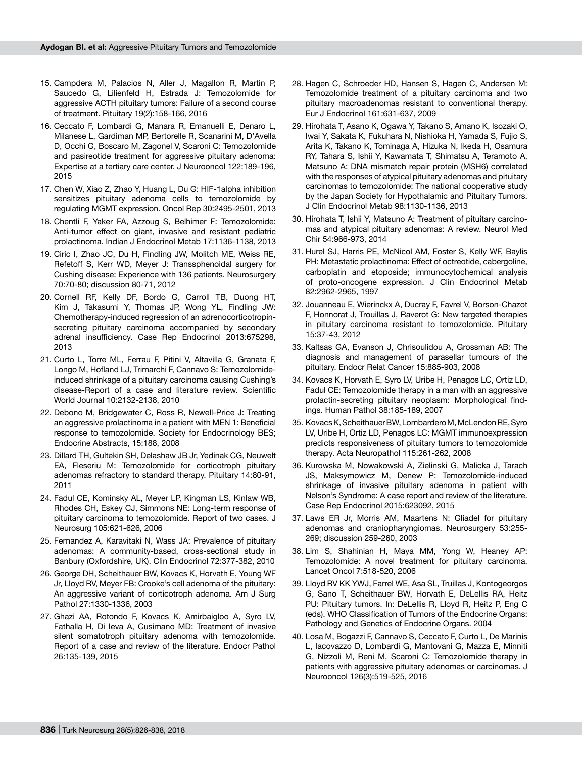- 15. Campdera M, Palacios N, Aller J, Magallon R, Martin P, Saucedo G, Lilienfeld H, Estrada J: Temozolomide for aggressive ACTH pituitary tumors: Failure of a second course of treatment. Pituitary 19(2):158-166, 2016
- 16. Ceccato F, Lombardi G, Manara R, Emanuelli E, Denaro L, Milanese L, Gardiman MP, Bertorelle R, Scanarini M, D'Avella D, Occhi G, Boscaro M, Zagonel V, Scaroni C: Temozolomide and pasireotide treatment for aggressive pituitary adenoma: Expertise at a tertiary care center. J Neurooncol 122:189-196, 2015
- 17. Chen W, Xiao Z, Zhao Y, Huang L, Du G: HIF-1alpha inhibition sensitizes pituitary adenoma cells to temozolomide by regulating MGMT expression. Oncol Rep 30:2495-2501, 2013
- 18. Chentli F, Yaker FA, Azzoug S, Belhimer F: Temozolomide: Anti-tumor effect on giant, invasive and resistant pediatric prolactinoma. Indian J Endocrinol Metab 17:1136-1138, 2013
- 19. Ciric I, Zhao JC, Du H, Findling JW, Molitch ME, Weiss RE, Refetoff S, Kerr WD, Meyer J: Transsphenoidal surgery for Cushing disease: Experience with 136 patients. Neurosurgery 70:70-80; discussion 80-71, 2012
- 20. Cornell RF, Kelly DF, Bordo G, Carroll TB, Duong HT, Kim J, Takasumi Y, Thomas JP, Wong YL, Findling JW: Chemotherapy-induced regression of an adrenocorticotropinsecreting pituitary carcinoma accompanied by secondary adrenal insufficiency. Case Rep Endocrinol 2013:675298, 2013
- 21. Curto L, Torre ML, Ferrau F, Pitini V, Altavilla G, Granata F, Longo M, Hofland LJ, Trimarchi F, Cannavo S: Temozolomideinduced shrinkage of a pituitary carcinoma causing Cushing's disease-Report of a case and literature review. Scientific World Journal 10:2132-2138, 2010
- 22. Debono M, Bridgewater C, Ross R, Newell-Price J: Treating an aggressive prolactinoma in a patient with MEN 1: Beneficial response to temozolomide. Society for Endocrinology BES; Endocrine Abstracts, 15:188, 2008
- 23. Dillard TH, Gultekin SH, Delashaw JB Jr, Yedinak CG, Neuwelt EA, Fleseriu M: Temozolomide for corticotroph pituitary adenomas refractory to standard therapy. Pituitary 14:80-91, 2011
- 24. Fadul CE, Kominsky AL, Meyer LP, Kingman LS, Kinlaw WB, Rhodes CH, Eskey CJ, Simmons NE: Long-term response of pituitary carcinoma to temozolomide. Report of two cases. J Neurosurg 105:621-626, 2006
- 25. Fernandez A, Karavitaki N, Wass JA: Prevalence of pituitary adenomas: A community-based, cross-sectional study in Banbury (Oxfordshire, UK). Clin Endocrinol 72:377-382, 2010
- 26. George DH, Scheithauer BW, Kovacs K, Horvath E, Young WF Jr, Lloyd RV, Meyer FB: Crooke's cell adenoma of the pituitary: An aggressive variant of corticotroph adenoma. Am J Surg Pathol 27:1330-1336, 2003
- 27. Ghazi AA, Rotondo F, Kovacs K, Amirbaigloo A, Syro LV, Fathalla H, Di Ieva A, Cusimano MD: Treatment of invasive silent somatotroph pituitary adenoma with temozolomide. Report of a case and review of the literature. Endocr Pathol 26:135-139, 2015
- 28. Hagen C, Schroeder HD, Hansen S, Hagen C, Andersen M: Temozolomide treatment of a pituitary carcinoma and two pituitary macroadenomas resistant to conventional therapy. Eur J Endocrinol 161:631-637, 2009
- 29. Hirohata T, Asano K, Ogawa Y, Takano S, Amano K, Isozaki O, Iwai Y, Sakata K, Fukuhara N, Nishioka H, Yamada S, Fujio S, Arita K, Takano K, Tominaga A, Hizuka N, Ikeda H, Osamura RY, Tahara S, Ishii Y, Kawamata T, Shimatsu A, Teramoto A, Matsuno A: DNA mismatch repair protein (MSH6) correlated with the responses of atypical pituitary adenomas and pituitary carcinomas to temozolomide: The national cooperative study by the Japan Society for Hypothalamic and Pituitary Tumors. J Clin Endocrinol Metab 98:1130-1136, 2013
- 30. Hirohata T, Ishii Y, Matsuno A: Treatment of pituitary carcinomas and atypical pituitary adenomas: A review. Neurol Med Chir 54:966-973, 2014
- 31. Hurel SJ, Harris PE, McNicol AM, Foster S, Kelly WF, Baylis PH: Metastatic prolactinoma: Effect of octreotide, cabergoline, carboplatin and etoposide; immunocytochemical analysis of proto-oncogene expression. J Clin Endocrinol Metab 82:2962-2965, 1997
- 32. Jouanneau E, Wierinckx A, Ducray F, Favrel V, Borson-Chazot F, Honnorat J, Trouillas J, Raverot G: New targeted therapies in pituitary carcinoma resistant to temozolomide. Pituitary 15:37-43, 2012
- 33. Kaltsas GA, Evanson J, Chrisoulidou A, Grossman AB: The diagnosis and management of parasellar tumours of the pituitary. Endocr Relat Cancer 15:885-903, 2008
- 34. Kovacs K, Horvath E, Syro LV, Uribe H, Penagos LC, Ortiz LD, Fadul CE: Temozolomide therapy in a man with an aggressive prolactin-secreting pituitary neoplasm: Morphological findings. Human Pathol 38:185-189, 2007
- 35. Kovacs K, Scheithauer BW, Lombardero M, McLendon RE, Syro LV, Uribe H, Ortiz LD, Penagos LC: MGMT immunoexpression predicts responsiveness of pituitary tumors to temozolomide therapy. Acta Neuropathol 115:261-262, 2008
- 36. Kurowska M, Nowakowski A, Zielinski G, Malicka J, Tarach JS, Maksymowicz M, Denew P: Temozolomide-induced shrinkage of invasive pituitary adenoma in patient with Nelson's Syndrome: A case report and review of the literature. Case Rep Endocrinol 2015:623092, 2015
- 37. Laws ER Jr, Morris AM, Maartens N: Gliadel for pituitary adenomas and craniopharyngiomas. Neurosurgery 53:255- 269; discussion 259-260, 2003
- 38. Lim S, Shahinian H, Maya MM, Yong W, Heaney AP: Temozolomide: A novel treatment for pituitary carcinoma. Lancet Oncol 7:518-520, 2006
- 39. Lloyd RV KK YWJ, Farrel WE, Asa SL, Truillas J, Kontogeorgos G, Sano T, Scheithauer BW, Horvath E, DeLellis RA, Heitz PU: Pituitary tumors. In: DeLellis R, Lloyd R, Heitz P, Eng C (eds). WHO Classification of Tumors of the Endocrine Organs: Pathology and Genetics of Endocrine Organs. 2004
- 40. Losa M, Bogazzi F, Cannavo S, Ceccato F, Curto L, De Marinis L, Iacovazzo D, Lombardi G, Mantovani G, Mazza E, Minniti G, Nizzoli M, Reni M, Scaroni C: Temozolomide therapy in patients with aggressive pituitary adenomas or carcinomas. J Neurooncol 126(3):519-525, 2016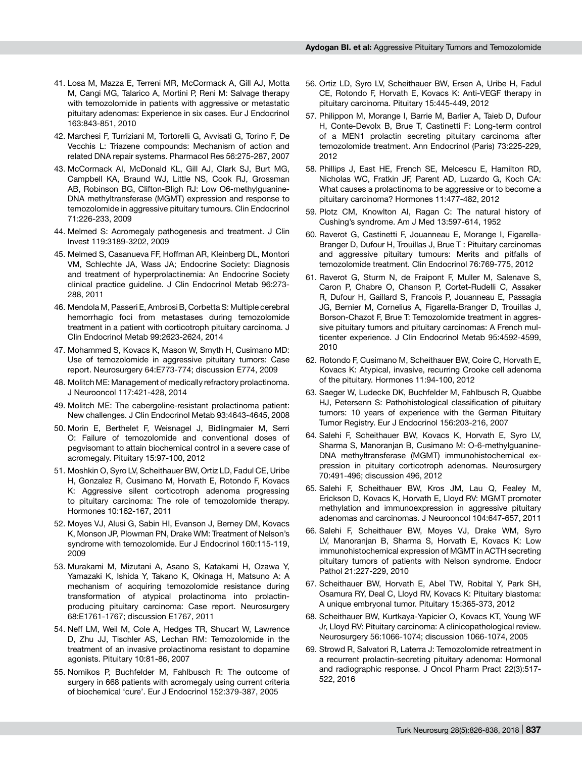- 41. Losa M, Mazza E, Terreni MR, McCormack A, Gill AJ, Motta M, Cangi MG, Talarico A, Mortini P, Reni M: Salvage therapy with temozolomide in patients with aggressive or metastatic pituitary adenomas: Experience in six cases. Eur J Endocrinol 163:843-851, 2010
- 42. Marchesi F, Turriziani M, Tortorelli G, Avvisati G, Torino F, De Vecchis L: Triazene compounds: Mechanism of action and related DNA repair systems. Pharmacol Res 56:275-287, 2007
- 43. McCormack AI, McDonald KL, Gill AJ, Clark SJ, Burt MG, Campbell KA, Braund WJ, Little NS, Cook RJ, Grossman AB, Robinson BG, Clifton-Bligh RJ: Low O6-methylguanine-DNA methyltransferase (MGMT) expression and response to temozolomide in aggressive pituitary tumours. Clin Endocrinol 71:226-233, 2009
- 44. Melmed S: Acromegaly pathogenesis and treatment. J Clin Invest 119:3189-3202, 2009
- 45. Melmed S, Casanueva FF, Hoffman AR, Kleinberg DL, Montori VM, Schlechte JA, Wass JA; Endocrine Society: Diagnosis and treatment of hyperprolactinemia: An Endocrine Society clinical practice guideline. J Clin Endocrinol Metab 96:273- 288, 2011
- 46. Mendola M, Passeri E, Ambrosi B, Corbetta S: Multiple cerebral hemorrhagic foci from metastases during temozolomide treatment in a patient with corticotroph pituitary carcinoma. J Clin Endocrinol Metab 99:2623-2624, 2014
- 47. Mohammed S, Kovacs K, Mason W, Smyth H, Cusimano MD: Use of temozolomide in aggressive pituitary tumors: Case report. Neurosurgery 64:E773-774; discussion E774, 2009
- 48. Molitch ME: Management of medically refractory prolactinoma. J Neurooncol 117:421-428, 2014
- 49. Molitch ME: The cabergoline-resistant prolactinoma patient: New challenges. J Clin Endocrinol Metab 93:4643-4645, 2008
- 50. Morin E, Berthelet F, Weisnagel J, Bidlingmaier M, Serri O: Failure of temozolomide and conventional doses of pegvisomant to attain biochemical control in a severe case of acromegaly. Pituitary 15:97-100, 2012
- 51. Moshkin O, Syro LV, Scheithauer BW, Ortiz LD, Fadul CE, Uribe H, Gonzalez R, Cusimano M, Horvath E, Rotondo F, Kovacs K: Aggressive silent corticotroph adenoma progressing to pituitary carcinoma: The role of temozolomide therapy. Hormones 10:162-167, 2011
- 52. Moyes VJ, Alusi G, Sabin HI, Evanson J, Berney DM, Kovacs K, Monson JP, Plowman PN, Drake WM: Treatment of Nelson's syndrome with temozolomide. Eur J Endocrinol 160:115-119, 2009
- 53. Murakami M, Mizutani A, Asano S, Katakami H, Ozawa Y, Yamazaki K, Ishida Y, Takano K, Okinaga H, Matsuno A: A mechanism of acquiring temozolomide resistance during transformation of atypical prolactinoma into prolactinproducing pituitary carcinoma: Case report. Neurosurgery 68:E1761-1767; discussion E1767, 2011
- 54. Neff LM, Weil M, Cole A, Hedges TR, Shucart W, Lawrence D, Zhu JJ, Tischler AS, Lechan RM: Temozolomide in the treatment of an invasive prolactinoma resistant to dopamine agonists. Pituitary 10:81-86, 2007
- 55. Nomikos P, Buchfelder M, Fahlbusch R: The outcome of surgery in 668 patients with acromegaly using current criteria of biochemical 'cure'. Eur J Endocrinol 152:379-387, 2005
- 56. Ortiz LD, Syro LV, Scheithauer BW, Ersen A, Uribe H, Fadul CE, Rotondo F, Horvath E, Kovacs K: Anti-VEGF therapy in pituitary carcinoma. Pituitary 15:445-449, 2012
- 57. Philippon M, Morange I, Barrie M, Barlier A, Taieb D, Dufour H, Conte-Devolx B, Brue T, Castinetti F: Long-term control of a MEN1 prolactin secreting pituitary carcinoma after temozolomide treatment. Ann Endocrinol (Paris) 73:225-229, 2012
- 58. Phillips J, East HE, French SE, Melcescu E, Hamilton RD, Nicholas WC, Fratkin JF, Parent AD, Luzardo G, Koch CA: What causes a prolactinoma to be aggressive or to become a pituitary carcinoma? Hormones 11:477-482, 2012
- 59. Plotz CM, Knowlton AI, Ragan C: The natural history of Cushing's syndrome. Am J Med 13:597-614, 1952
- 60. Raverot G, Castinetti F, Jouanneau E, Morange I, Figarella-Branger D, Dufour H, Trouillas J, Brue T : Pituitary carcinomas and aggressive pituitary tumours: Merits and pitfalls of temozolomide treatment. Clin Endocrinol 76:769-775, 2012
- 61. Raverot G, Sturm N, de Fraipont F, Muller M, Salenave S, Caron P, Chabre O, Chanson P, Cortet-Rudelli C, Assaker R, Dufour H, Gaillard S, Francois P, Jouanneau E, Passagia JG, Bernier M, Cornelius A, Figarella-Branger D, Trouillas J, Borson-Chazot F, Brue T: Temozolomide treatment in aggressive pituitary tumors and pituitary carcinomas: A French multicenter experience. J Clin Endocrinol Metab 95:4592-4599, 2010
- 62. Rotondo F, Cusimano M, Scheithauer BW, Coire C, Horvath E, Kovacs K: Atypical, invasive, recurring Crooke cell adenoma of the pituitary. Hormones 11:94-100, 2012
- 63. Saeger W, Ludecke DK, Buchfelder M, Fahlbusch R, Quabbe HJ, Petersenn S: Pathohistological classification of pituitary tumors: 10 years of experience with the German Pituitary Tumor Registry. Eur J Endocrinol 156:203-216, 2007
- 64. Salehi F, Scheithauer BW, Kovacs K, Horvath E, Syro LV, Sharma S, Manoranjan B, Cusimano M: O-6-methylguanine-DNA methyltransferase (MGMT) immunohistochemical expression in pituitary corticotroph adenomas. Neurosurgery 70:491-496; discussion 496, 2012
- 65. Salehi F, Scheithauer BW, Kros JM, Lau Q, Fealey M, Erickson D, Kovacs K, Horvath E, Lloyd RV: MGMT promoter methylation and immunoexpression in aggressive pituitary adenomas and carcinomas. J Neurooncol 104:647-657, 2011
- 66. Salehi F, Scheithauer BW, Moyes VJ, Drake WM, Syro LV, Manoranjan B, Sharma S, Horvath E, Kovacs K: Low immunohistochemical expression of MGMT in ACTH secreting pituitary tumors of patients with Nelson syndrome. Endocr Pathol 21:227-229, 2010
- 67. Scheithauer BW, Horvath E, Abel TW, Robital Y, Park SH, Osamura RY, Deal C, Lloyd RV, Kovacs K: Pituitary blastoma: A unique embryonal tumor. Pituitary 15:365-373, 2012
- 68. Scheithauer BW, Kurtkaya-Yapicier O, Kovacs KT, Young WF Jr, Lloyd RV: Pituitary carcinoma: A clinicopathological review. Neurosurgery 56:1066-1074; discussion 1066-1074, 2005
- 69. Strowd R, Salvatori R, Laterra J: Temozolomide retreatment in a recurrent prolactin-secreting pituitary adenoma: Hormonal and radiographic response. J Oncol Pharm Pract 22(3):517- 522, 2016